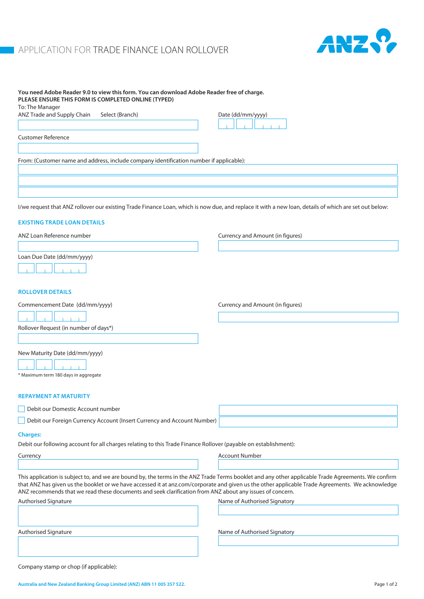## **APPLICATION FOR TRADE FINANCE LOAN ROLLOVER**



| You need Adobe Reader 9.0 to view this form. You can download Adobe Reader free of charge.<br>PLEASE ENSURE THIS FORM IS COMPLETED ONLINE (TYPED) |                                                                                                                                                                                                                                                                                                         |
|---------------------------------------------------------------------------------------------------------------------------------------------------|---------------------------------------------------------------------------------------------------------------------------------------------------------------------------------------------------------------------------------------------------------------------------------------------------------|
| To: The Manager                                                                                                                                   |                                                                                                                                                                                                                                                                                                         |
| ANZ Trade and Supply Chain<br>Select (Branch)                                                                                                     | Date (dd/mm/yyyy)                                                                                                                                                                                                                                                                                       |
|                                                                                                                                                   |                                                                                                                                                                                                                                                                                                         |
| <b>Customer Reference</b>                                                                                                                         |                                                                                                                                                                                                                                                                                                         |
|                                                                                                                                                   |                                                                                                                                                                                                                                                                                                         |
| From: (Customer name and address, include company identification number if applicable):                                                           |                                                                                                                                                                                                                                                                                                         |
|                                                                                                                                                   |                                                                                                                                                                                                                                                                                                         |
|                                                                                                                                                   |                                                                                                                                                                                                                                                                                                         |
|                                                                                                                                                   |                                                                                                                                                                                                                                                                                                         |
|                                                                                                                                                   | I/we request that ANZ rollover our existing Trade Finance Loan, which is now due, and replace it with a new loan, details of which are set out below:                                                                                                                                                   |
|                                                                                                                                                   |                                                                                                                                                                                                                                                                                                         |
| <b>EXISTING TRADE LOAN DETAILS</b>                                                                                                                |                                                                                                                                                                                                                                                                                                         |
| ANZ Loan Reference number                                                                                                                         | Currency and Amount (in figures)                                                                                                                                                                                                                                                                        |
|                                                                                                                                                   |                                                                                                                                                                                                                                                                                                         |
| Loan Due Date (dd/mm/yyyy)                                                                                                                        |                                                                                                                                                                                                                                                                                                         |
|                                                                                                                                                   |                                                                                                                                                                                                                                                                                                         |
|                                                                                                                                                   |                                                                                                                                                                                                                                                                                                         |
| <b>ROLLOVER DETAILS</b>                                                                                                                           |                                                                                                                                                                                                                                                                                                         |
| Commencement Date (dd/mm/yyyy)                                                                                                                    | Currency and Amount (in figures)                                                                                                                                                                                                                                                                        |
|                                                                                                                                                   |                                                                                                                                                                                                                                                                                                         |
| Rollover Request (in number of days*)                                                                                                             |                                                                                                                                                                                                                                                                                                         |
|                                                                                                                                                   |                                                                                                                                                                                                                                                                                                         |
|                                                                                                                                                   |                                                                                                                                                                                                                                                                                                         |
| New Maturity Date (dd/mm/yyyy)                                                                                                                    |                                                                                                                                                                                                                                                                                                         |
|                                                                                                                                                   |                                                                                                                                                                                                                                                                                                         |
| * Maximum term 180 days in aggregate                                                                                                              |                                                                                                                                                                                                                                                                                                         |
| <b>REPAYMENT AT MATURITY</b>                                                                                                                      |                                                                                                                                                                                                                                                                                                         |
|                                                                                                                                                   |                                                                                                                                                                                                                                                                                                         |
| Debit our Domestic Account number                                                                                                                 |                                                                                                                                                                                                                                                                                                         |
| Debit our Foreign Currency Account (Insert Currency and Account Number)                                                                           |                                                                                                                                                                                                                                                                                                         |
| <b>Charges:</b>                                                                                                                                   |                                                                                                                                                                                                                                                                                                         |
| Debit our following account for all charges relating to this Trade Finance Rollover (payable on establishment):                                   |                                                                                                                                                                                                                                                                                                         |
| Currency                                                                                                                                          | <b>Account Number</b>                                                                                                                                                                                                                                                                                   |
|                                                                                                                                                   |                                                                                                                                                                                                                                                                                                         |
| ANZ recommends that we read these documents and seek clarification from ANZ about any issues of concern.                                          | This application is subject to, and we are bound by, the terms in the ANZ Trade Terms booklet and any other applicable Trade Agreements. We confirm<br>that ANZ has given us the booklet or we have accessed it at anz.com/corporate and given us the other applicable Trade Agreements. We acknowledge |
| Authorised Signature                                                                                                                              | Name of Authorised Signatory                                                                                                                                                                                                                                                                            |
|                                                                                                                                                   |                                                                                                                                                                                                                                                                                                         |
|                                                                                                                                                   |                                                                                                                                                                                                                                                                                                         |
| Authorised Signature                                                                                                                              | Name of Authorised Signatory                                                                                                                                                                                                                                                                            |
|                                                                                                                                                   |                                                                                                                                                                                                                                                                                                         |
|                                                                                                                                                   |                                                                                                                                                                                                                                                                                                         |
|                                                                                                                                                   |                                                                                                                                                                                                                                                                                                         |

Company stamp or chop (if applicable):